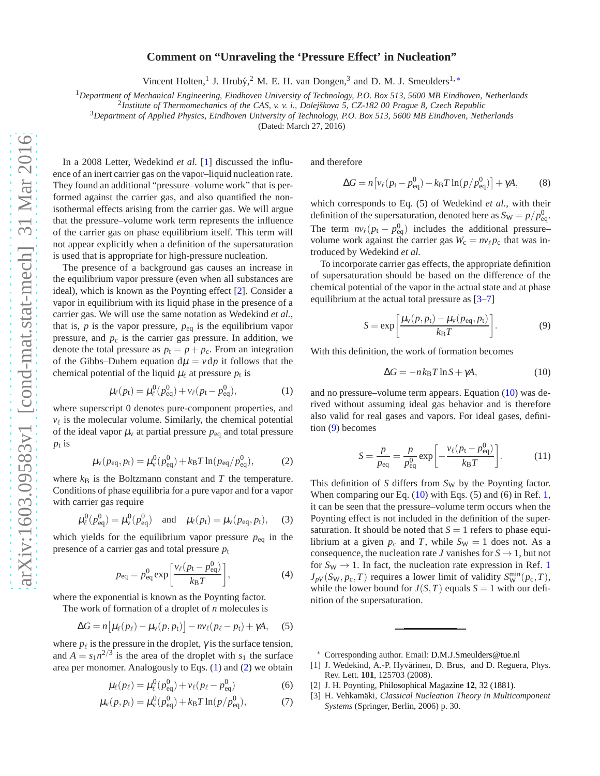## **Comment on "Unraveling the 'Pressure Effect' in Nucleation"**

Vincent Holten,<sup>1</sup> J. Hrubý,<sup>2</sup> M. E. H. van Dongen,<sup>3</sup> and D. M. J. Smeulders<sup>1,\*</sup>

<sup>1</sup>*Department of Mechanical Engineering, Eindhoven University of Technology, P.O. Box 513, 5600 MB Eindhoven, Netherlands*

<sup>2</sup> Institute of Thermomechanics of the CAS, v. v. i., Dolejškova 5, CZ-182 00 Prague 8, Czech Republic

<sup>3</sup>*Department of Applied Physics, Eindhoven University of Technology, P.O. Box 513, 5600 MB Eindhoven, Netherlands*

(Dated: March 27, 2016)

In a 2008 Letter, Wedekind *et al.* [\[1](#page-0-1)] discussed the influence of an inert carrier gas on the vapor–liquid nucleation rate. They found an additional "pressure–volume work" that is performed against the carrier gas, and also quantified the nonisothermal effects arising from the carrier gas. We will argue that the pressure–volume work term represents the influence of the carrier gas on phase equilibrium itself. This term will not appear explicitly when a definition of the supersaturation is used that is appropriate for high-pressure nucleation.

The presence of a background gas causes an increase in the equilibrium vapor pressure (even when all substances are ideal), which is known as the Poynting effect [\[2](#page-0-2)]. Consider a vapor in equilibrium with its liquid phase in the presence of a carrier gas. We will use the same notation as Wedekind *et al.*, that is,  $p$  is the vapor pressure,  $p_{eq}$  is the equilibrium vapor pressure, and  $p_c$  is the carrier gas pressure. In addition, we denote the total pressure as  $p_t = p + p_c$ . From an integration of the Gibbs–Duhem equation  $d\mu = v dp$  it follows that the chemical potential of the liquid  $\mu_{\ell}$  at pressure  $p_t$  is

<span id="page-0-3"></span>
$$
\mu_{\ell}(p_{t}) = \mu_{\ell}^{0}(p_{eq}^{0}) + \nu_{\ell}(p_{t} - p_{eq}^{0}), \qquad (1)
$$

where superscript 0 denotes pure-component properties, and  $v_{\ell}$  is the molecular volume. Similarly, the chemical potential of the ideal vapor  $\mu$ <sub>v</sub> at partial pressure  $p_{eq}$  and total pressure *p*t is

<span id="page-0-4"></span>
$$
\mu_{\rm v}(p_{\rm eq}, p_{\rm t}) = \mu_{\rm v}^0(p_{\rm eq}^0) + k_{\rm B}T \ln(p_{\rm eq}/p_{\rm eq}^0),\tag{2}
$$

where  $k_B$  is the Boltzmann constant and  $T$  the temperature. Conditions of phase equilibria for a pure vapor and for a vapor with carrier gas require

$$
\mu_{\ell}^{0}(p_{\text{eq}}^{0}) = \mu_{\text{v}}^{0}(p_{\text{eq}}^{0})
$$
 and  $\mu_{\ell}(p_{\text{t}}) = \mu_{\text{v}}(p_{\text{eq}}, p_{\text{t}})$ , (3)

which yields for the equilibrium vapor pressure  $p_{eq}$  in the presence of a carrier gas and total pressure  $p_t$ 

$$
p_{\text{eq}} = p_{\text{eq}}^0 \exp\left[\frac{v_\ell (p_t - p_{\text{eq}}^0)}{k_{\text{B}} T}\right],\tag{4}
$$

where the exponential is known as the Poynting factor.

The work of formation of a droplet of *n* molecules is

$$
\Delta G = n \big[ \mu_\ell(p_\ell) - \mu_\nu(p, p_t) \big] - n \nu_\ell(p_\ell - p_t) + \gamma A, \quad (5)
$$

where  $p_{\ell}$  is the pressure in the droplet,  $\gamma$  is the surface tension, and  $A = s_1 n^{2/3}$  is the area of the droplet with  $s_1$  the surface area per monomer. Analogously to Eqs. [\(1\)](#page-0-3) and [\(2\)](#page-0-4) we obtain

$$
\mu_{\ell}(p_{\ell}) = \mu_{\ell}^{0}(p_{\text{eq}}^{0}) + v_{\ell}(p_{\ell} - p_{\text{eq}}^{0})
$$
 (6)

$$
\mu_{\rm v}(p, p_{\rm t}) = \mu_{\rm v}^0(p_{\rm eq}^0) + k_{\rm B} T \ln(p/p_{\rm eq}^0),\tag{7}
$$

and therefore

$$
\Delta G = n \left[ v_{\ell} (p_{\rm t} - p_{\rm eq}^0) - k_{\rm B} T \ln(p/p_{\rm eq}^0) \right] + \gamma A, \tag{8}
$$

which corresponds to Eq. (5) of Wedekind *et al.*, with their definition of the supersaturation, denoted here as  $S_{\rm W} = p/p_{\rm eq}^0$ . The term  $n v_\ell (p_t - p_{\text{eq}}^0)$  includes the additional pressure– volume work against the carrier gas  $W_c = nv_{\ell}p_c$  that was introduced by Wedekind *et al.*

To incorporate carrier gas effects, the appropriate definition of supersaturation should be based on the difference of the chemical potential of the vapor in the actual state and at phase equilibrium at the actual total pressure as [\[3](#page-0-5)[–7\]](#page-1-0)

<span id="page-0-7"></span>
$$
S = \exp\left[\frac{\mu_{\rm v}(p, p_{\rm t}) - \mu_{\rm v}(p_{\rm eq}, p_{\rm t})}{k_{\rm B}T}\right].
$$
 (9)

With this definition, the work of formation becomes

<span id="page-0-6"></span>
$$
\Delta G = -n k_{\rm B} T \ln S + \gamma A, \qquad (10)
$$

and no pressure–volume term appears. Equation [\(10\)](#page-0-6) was derived without assuming ideal gas behavior and is therefore also valid for real gases and vapors. For ideal gases, definition [\(9\)](#page-0-7) becomes

$$
S = \frac{p}{p_{\text{eq}}} = \frac{p}{p_{\text{eq}}^0} \exp\left[-\frac{v_\ell(p_{\text{t}} - p_{\text{eq}}^0)}{k_{\text{B}}T}\right].\tag{11}
$$

This definition of *S* differs from *S<sub>W</sub>* by the Poynting factor. When comparing our Eq. [\(10\)](#page-0-6) with Eqs. (5) and (6) in Ref. [1,](#page-0-1) it can be seen that the pressure–volume term occurs when the Poynting effect is not included in the definition of the supersaturation. It should be noted that  $S = 1$  refers to phase equilibrium at a given  $p_c$  and *T*, while  $S_W = 1$  does not. As a consequence, the nucleation rate *J* vanishes for  $S \rightarrow 1$ , but not for  $S_W \rightarrow 1$  $S_W \rightarrow 1$ . In fact, the nucleation rate expression in Ref. 1  $J_{pV}(S_{\rm W}, p_{\rm c}, T)$  requires a lower limit of validity  $S_{\rm W}^{\rm min}(p_{\rm c}, T)$ , while the lower bound for  $J(S,T)$  equals  $S = 1$  with our definition of the supersaturation.

- <span id="page-0-2"></span>[2] J. H. Poynting, [Philosophical Magazine](http://dx.doi.org/10.1080/14786448108627066) **12**, 32 (1881).
- <span id="page-0-5"></span>[3] H. Vehkamäki, *Classical Nucleation Theory in Multicomponent Systems* (Springer, Berlin, 2006) p. 30.

<span id="page-0-0"></span><sup>∗</sup> Corresponding author. Email: [D.M.J.Smeulders@tue.nl](mailto:D.M.J.Smeulders@tue.nl)

<span id="page-0-1"></span><sup>[1]</sup> J. Wedekind, A.-P. Hyvärinen, D. Brus, and D. Reguera, Phys. Rev. Lett. **101**, 125703 (2008).